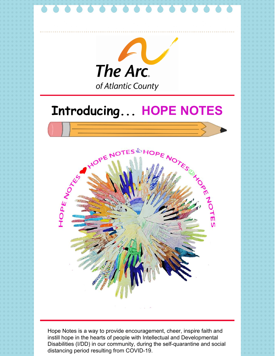

instill hope in the hearts of people with Intellectual and Developmental Disabilities (I/DD) in our community, during the self-quarantine and social distancing period resulting from COVID-19.